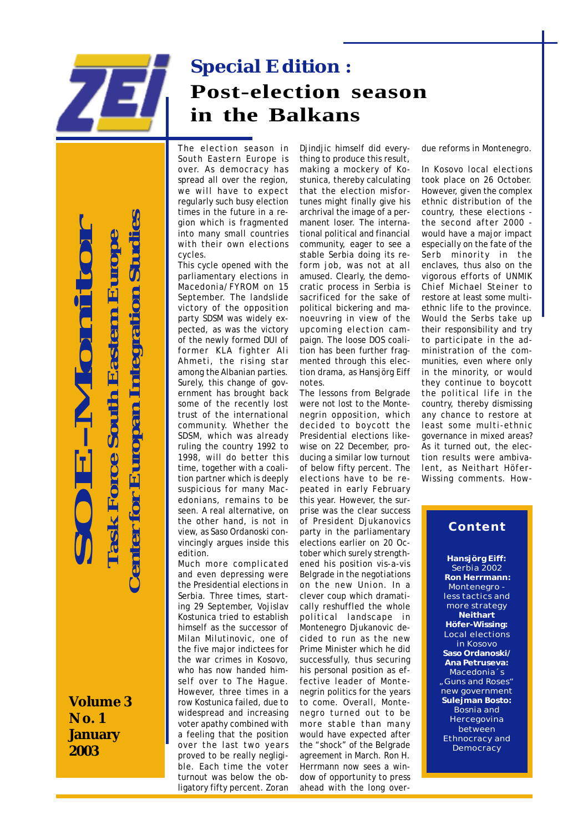

# **Special Edition : Post-election season in the Balkans**

The election season in South Eastern Europe is over. As democracy has spread all over the region, we will have to expect regularly such busy election times in the future in a region which is fragmented into many small countries with their own elections cycles.

This cycle opened with the parliamentary elections in Macedonia/FYROM on 15 September. The landslide victory of the opposition party SDSM was widely expected, as was the victory of the newly formed DUI of former KLA fighter Ali Ahmeti, the rising star among the Albanian parties. Surely, this change of government has brought back some of the recently lost trust of the international community. Whether the SDSM, which was already ruling the country 1992 to 1998, will do better this time, together with a coalition partner which is deeply suspicious for many Macedonians, remains to be seen. A real alternative, on the other hand, is not in view, as Saso Ordanoski convincingly argues inside this edition.

Much more complicated and even depressing were the Presidential elections in Serbia. Three times, starting 29 September, Vojislav Kostunica tried to establish himself as the successor of Milan Milutinovic, one of the five major indictees for the war crimes in Kosovo, who has now handed himself over to The Hague. However, three times in a row Kostunica failed, due to widespread and increasing voter apathy combined with a feeling that the position over the last two years proved to be really negligible. Each time the voter turnout was below the obligatory fifty percent. Zoran Djindjic himself did everything to produce this result, making a mockery of Kostunica, thereby calculating that the election misfortunes might finally give his archrival the image of a permanent loser. The international political and financial community, eager to see a stable Serbia doing its reform job, was not at all amused. Clearly, the democratic process in Serbia is sacrificed for the sake of political bickering and manoeuvring in view of the upcoming election campaign. The loose DOS coalition has been further fragmented through this election drama, as Hansjörg Eiff notes.

The lessons from Belgrade were not lost to the Montenegrin opposition, which decided to boycott the Presidential elections likewise on 22 December, producing a similar low turnout of below fifty percent. The elections have to be repeated in early February this year. However, the surprise was the clear success of President Djukanovics party in the parliamentary elections earlier on 20 October which surely strengthened his position vis-a-vis Belgrade in the negotiations on the new Union. In a clever coup which dramatically reshuffled the whole political landscape in Montenegro Djukanovic decided to run as the new Prime Minister which he did successfully, thus securing his personal position as effective leader of Montenegrin politics for the years to come. Overall, Montenegro turned out to be more stable than many would have expected after the "shock" of the Belgrade agreement in March. Ron H. Herrmann now sees a window of opportunity to press ahead with the long overdue reforms in Montenegro.

In Kosovo local elections took place on 26 October. However, given the complex ethnic distribution of the country, these elections the second after 2000 would have a major impact especially on the fate of the Serb minority in the enclaves, thus also on the vigorous efforts of UNMIK Chief Michael Steiner to restore at least some multiethnic life to the province. Would the Serbs take up their responsibility and try to participate in the administration of the communities, even where only in the minority, or would they continue to boycott the political life in the country, thereby dismissing any chance to restore at least some multi-ethnic governance in mixed areas? As it turned out, the election results were ambivalent, as Neithart Höfer-Wissing comments. How-

# **Content**

**Hansjörg Eiff:** Serbia 2002  **Ron Herrmann:** Montenegro less tactics and more strategy **Neithart Höfer-Wissing:** Local elections in Kosovo **Saso Ordanoski/ Ana Petruseva:** Macedonia´s "Guns and Roses" new government **Sulejman Bosto:** Bosnia and Hercegovina between Ethnocracy and **Democracy** 

**Volume 3 No. 1 January 2003**

**SOE-Monitor**

ECOL

 **Task Force South Eastern Europe**

**Task Force South Eastern Europe** 

 **Center for Europan Integration Studies**

**Jenter for Europan Integration Studies**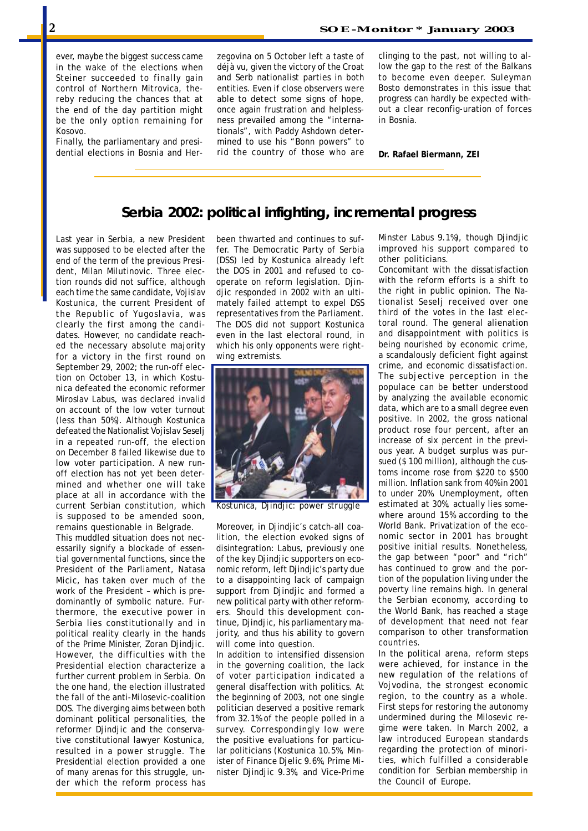ever, maybe the biggest success came in the wake of the elections when Steiner succeeded to finally gain control of Northern Mitrovica, thereby reducing the chances that at the end of the day partition might be the only option remaining for Kosovo.

Finally, the parliamentary and presidential elections in Bosnia and Herzegovina on 5 October left a taste of déjà vu, given the victory of the Croat and Serb nationalist parties in both entities. Even if close observers were able to detect some signs of hope, once again frustration and helplessness prevailed among the "internationals", with Paddy Ashdown determined to use his "Bonn powers" to rid the country of those who are clinging to the past, not willing to allow the gap to the rest of the Balkans to become even deeper. Suleyman Bosto demonstrates in this issue that progress can hardly be expected without a clear reconfig-uration of forces in Bosnia.

**Dr. Rafael Biermann, ZEI**

### **Serbia 2002: political infighting, incremental progress**

Last year in Serbia, a new President was supposed to be elected after the end of the term of the previous President, Milan Milutinovic. Three election rounds did not suffice, although each time the same candidate, Vojislav Kostunica, the current President of the Republic of Yugoslavia, was clearly the first among the candidates. However, no candidate reached the necessary absolute majority for a victory in the first round on September 29, 2002; the run-off election on October 13, in which Kostunica defeated the economic reformer Miroslav Labus, was declared invalid on account of the low voter turnout (less than 50%). Although Kostunica defeated the Nationalist Vojislav Seselj in a repeated run-off, the election on December 8 failed likewise due to low voter participation. A new runoff election has not yet been determined and whether one will take place at all in accordance with the current Serbian constitution, which is supposed to be amended soon, remains questionable in Belgrade.

Presidential election provided a one lister of Finance Djelic 9.6 This muddled situation does not necessarily signify a blockade of essential governmental functions, since the President of the Parliament, Natasa Micic, has taken over much of the work of the President – which is predominantly of symbolic nature. Furthermore, the executive power in Serbia lies constitutionally and in political reality clearly in the hands of the Prime Minister, Zoran Djindjic. However, the difficulties with the Presidential election characterize a further current problem in Serbia. On the one hand, the election illustrated the fall of the anti-Milosevic-coalition DOS. The diverging aims between both dominant political personalities, the reformer Djindjic and the conservative constitutional lawyer Kostunica, resulted in a power struggle. The of many arenas for this struggle, under which the reform process has

been thwarted and continues to suffer. The Democratic Party of Serbia (DSS) led by Kostunica already left the DOS in 2001 and refused to cooperate on reform legislation. Djindjic responded in 2002 with an ultimately failed attempt to expel DSS representatives from the Parliament. The DOS did not support Kostunica even in the last electoral round, in which his only opponents were rightwing extremists.



*Kostunica, Djindjic: power struggle*

Moreover, in Djindjic's catch-all coalition, the election evoked signs of disintegration: Labus, previously one of the key Djindjic supporters on economic reform, left Djindjic's party due to a disappointing lack of campaign support from Djindjic and formed a new political party with other reformers. Should this development continue, Djindjic, his parliamentary majority, and thus his ability to govern will come into question.

In addition to intensified dissension in the governing coalition, the lack of voter participation indicated a general disaffection with politics. At the beginning of 2003, not one single politician deserved a positive remark from 32.1% of the people polled in a survey. Correspondingly low were the positive evaluations for particular politicians (Kostunica 10.5%, Minister of Finance Djelic 9.6%, Prime Minister Djindjic 9.3%, and Vice-Prime

Minster Labus 9.1%), though Djindjic improved his support compared to other politicians.

Concomitant with the dissatisfaction with the reform efforts is a shift to the right in public opinion. The Nationalist Seselj received over one third of the votes in the last electoral round. The general alienation and disappointment with politics is being nourished by economic crime, a scandalously deficient fight against crime, and economic dissatisfaction. The subjective perception in the populace can be better understood by analyzing the available economic data, which are to a small degree even positive. In 2002, the gross national product rose four percent, after an increase of six percent in the previous year. A budget surplus was pursued (\$ 100 million), although the customs income rose from \$220 to \$500 million. Inflation sank from 40% in 2001 to under 20%. Unemployment, often estimated at 30%, actually lies somewhere around 15% according to the World Bank. Privatization of the economic sector in 2001 has brought positive initial results. Nonetheless, the gap between "poor" and "rich" has continued to grow and the portion of the population living under the poverty line remains high. In general the Serbian economy, according to the World Bank, has reached a stage of development that need not fear comparison to other transformation countries.

In the political arena, reform steps were achieved, for instance in the new regulation of the relations of Vojvodina, the strongest economic region, to the country as a whole. First steps for restoring the autonomy undermined during the Milosevic regime were taken. In March 2002, a law introduced European standards regarding the protection of minorities, which fulfilled a considerable condition for Serbian membership in the Council of Europe.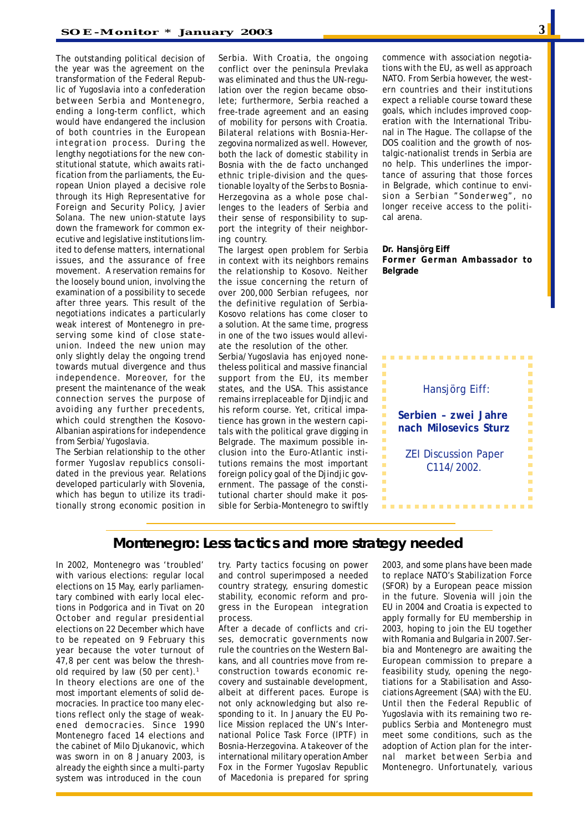The outstanding political decision of the year was the agreement on the transformation of the Federal Republic of Yugoslavia into a confederation between Serbia and Montenegro, ending a long-term conflict, which would have endangered the inclusion of both countries in the European integration process. During the lengthy negotiations for the new constitutional statute, which awaits ratification from the parliaments, the European Union played a decisive role through its High Representative for Foreign and Security Policy, Javier Solana. The new union-statute lays down the framework for common executive and legislative institutions limited to defense matters, international issues, and the assurance of free movement. A reservation remains for the loosely bound union, involving the examination of a possibility to secede after three years. This result of the negotiations indicates a particularly weak interest of Montenegro in preserving some kind of close stateunion. Indeed the new union may only slightly delay the ongoing trend towards mutual divergence and thus independence. Moreover, for the present the maintenance of the weak connection serves the purpose of avoiding any further precedents, which could strengthen the Kosovo-Albanian aspirations for independence from Serbia/Yugoslavia.

The Serbian relationship to the other former Yugoslav republics consolidated in the previous year. Relations developed particularly with Slovenia, which has begun to utilize its traditionally strong economic position in Serbia. With Croatia, the ongoing conflict over the peninsula Prevlaka was eliminated and thus the UN-regulation over the region became obsolete; furthermore, Serbia reached a free-trade agreement and an easing of mobility for persons with Croatia. Bilateral relations with Bosnia-Herzegovina normalized as well. However, both the lack of domestic stability in Bosnia with the *de facto* unchanged ethnic triple-division and the questionable loyalty of the Serbs to Bosnia-Herzegovina as a whole pose challenges to the leaders of Serbia and their sense of responsibility to support the integrity of their neighboring country.

The largest open problem for Serbia in context with its neighbors remains the relationship to Kosovo. Neither the issue concerning the return of over 200,000 Serbian refugees, nor the definitive regulation of Serbia-Kosovo relations has come closer to a solution. At the same time, progress in one of the two issues would alleviate the resolution of the other.

Serbia/Yugoslavia has enjoyed nonetheless political and massive financial support from the EU, its member states, and the USA. This assistance remains irreplaceable for Djindjic and his reform course. Yet, critical impatience has grown in the western capitals with the political grave digging in Belgrade. The maximum possible inclusion into the Euro-Atlantic institutions remains the most important foreign policy goal of the Djindjic government. The passage of the constitutional charter should make it possible for Serbia-Montenegro to swiftly commence with association negotiations with the EU, as well as approach NATO. From Serbia however, the western countries and their institutions expect a reliable course toward these goals, which includes improved cooperation with the International Tribunal in The Hague. The collapse of the DOS coalition and the growth of nostalgic-nationalist trends in Serbia are no help. This underlines the importance of assuring that those forces in Belgrade, which continue to envision a Serbian "Sonderweg", no longer receive access to the political arena.

#### **Dr. Hansjörg Eiff Former German Ambassador to Belgrade**



### **Montenegro: Less tactics and more strategy needed**

In 2002, Montenegro was 'troubled' with various elections: regular local elections on 15 May, early parliamentary combined with early local elections in Podgorica and in Tivat on 20 October and regular presidential elections on 22 December which have to be repeated on 9 February this year because the voter turnout of 47,8 per cent was below the threshold required by law (50 per cent).<sup>1</sup> In theory elections are one of the most important elements of solid democracies. In practice too many elections reflect only the stage of weakened democracies. Since 1990 Montenegro faced 14 elections and the cabinet of Milo Djukanovic, which was sworn in on 8 January 2003, is already the eighth since a multi-party system was introduced in the coun

try. Party tactics focusing on power and control superimposed a needed country strategy, ensuring domestic stability, economic reform and progress in the European integration process.

After a decade of conflicts and crises, democratic governments now rule the countries on the Western Balkans, and all countries move from reconstruction towards economic recovery and sustainable development, albeit at different paces. Europe is not only acknowledging but also responding to it. In January the EU Police Mission replaced the UN's International Police Task Force (IPTF) in Bosnia-Herzegovina. A takeover of the international military operation Amber Fox in the Former Yugoslav Republic of Macedonia is prepared for spring

2003, and some plans have been made to replace NATO's Stabilization Force (SFOR) by a European peace mission in the future. Slovenia will join the EU in 2004 and Croatia is expected to apply formally for EU membership in 2003, hoping to join the EU together with Romania and Bulgaria in 2007.Serbia and Montenegro are awaiting the European commission to prepare a feasibility study, opening the negotiations for a Stabilisation and Associations Agreement (SAA) with the EU. Until then the Federal Republic of Yugoslavia with its remaining two republics Serbia and Montenegro must meet some conditions, such as the adoption of Action plan for the internal market between Serbia and Montenegro. Unfortunately, various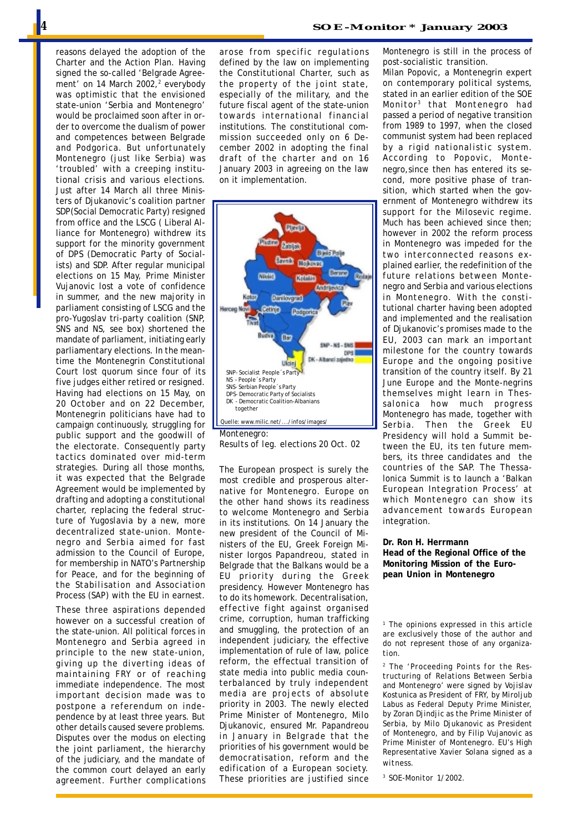reasons delayed the adoption of the Charter and the Action Plan. Having signed the so-called 'Belgrade Agreement' on 14 March 2002,<sup>2</sup> everybody was optimistic that the envisioned state-union 'Serbia and Montenegro' would be proclaimed soon after in order to overcome the dualism of power and competences between Belgrade and Podgorica. But unfortunately Montenegro (just like Serbia) was 'troubled' with a creeping institutional crisis and various elections. Just after 14 March all three Ministers of Djukanovic's coalition partner SDP(Social Democratic Party) resigned from office and the LSCG ( Liberal Alliance for Montenegro) withdrew its support for the minority government of DPS (Democratic Party of Socialists) and SDP. After regular municipal elections on 15 May, Prime Minister Vujanovic lost a vote of confidence in summer, and the new majority in parliament consisting of LSCG and the pro-Yugoslav tri-party coalition (SNP, SNS and NS, see box) shortened the mandate of parliament, initiating early parliamentary elections. In the meantime the Montenegrin Constitutional Court lost quorum since four of its five judges either retired or resigned. Having had elections on 15 May, on 20 October and on 22 December, Montenegrin politicians have had to campaign continuously, struggling for public support and the goodwill of the electorate. Consequently party tactics dominated over mid-term strategies. During all those months, it was expected that the Belgrade Agreement would be implemented by drafting and adopting a constitutional charter, replacing the federal structure of Yugoslavia by a new, more decentralized state-union. Montenegro and Serbia aimed for fast admission to the Council of Europe, for membership in NATO's Partnership for Peace, and for the beginning of the Stabilisation and Association Process (SAP) with the EU in earnest.

These three aspirations depended however on a successful creation of the state-union. All political forces in Montenegro and Serbia agreed in principle to the new state-union, giving up the diverting ideas of maintaining FRY or of reaching immediate independence. The most important decision made was to postpone a referendum on independence by at least three years. But other details caused severe problems. Disputes over the modus on electing the joint parliament, the hierarchy of the judiciary, and the mandate of the common court delayed an early agreement. Further complications draft of the charter and on 16 January 2003 in agreeing on the law

on it implementation.



*Results of leg. elections 20 Oct. 02*

The European prospect is surely the most credible and prosperous alternative for Montenegro. Europe on the other hand shows its readiness to welcome Montenegro and Serbia in its institutions. On 14 January the new president of the Council of Ministers of the EU, Greek Foreign Minister Iorgos Papandreou, stated in Belgrade that the Balkans would be a EU priority during the Greek presidency. However Montenegro has to do its homework. Decentralisation, effective fight against organised crime, corruption, human trafficking and smuggling, the protection of an independent judiciary, the effective implementation of rule of law, police reform, the effectual transition of state media into public media counterbalanced by truly independent media are projects of absolute priority in 2003. The newly elected Prime Minister of Montenegro, Milo Djukanovic, ensured Mr. Papandreou in January in Belgrade that the priorities of his government would be democratisation, reform and the edification of a European society. These priorities are justified since Montenegro is still in the process of post-socialistic transition.

Milan Popovic, a Montenegrin expert on contemporary political systems, stated in an earlier edition of the SOE Monitor3 that Montenegro had passed a period of negative transition from 1989 to 1997, when the closed communist system had been replaced by a rigid nationalistic system. According to Popovic, Montenegro,since then has entered its second, more positive phase of transition, which started when the government of Montenegro withdrew its support for the Milosevic regime. Much has been achieved since then; however in 2002 the reform process in Montenegro was impeded for the two interconnected reasons explained earlier, the redefinition of the future relations between Montenegro and Serbia and various elections in Montenegro. With the constitutional charter having been adopted and implemented and the realisation of Djukanovic's promises made to the EU, 2003 can mark an important milestone for the country towards Europe and the ongoing positive transition of the country itself. By 21 June Europe and the Monte-negrins themselves might learn in Thessalonica how much progress Montenegro has made, together with Serbia. Then the Greek EU Presidency will hold a Summit between the EU, its ten future members, its three candidates and the countries of the SAP. The Thessalonica Summit is to launch a 'Balkan European Integration Process' at which Montenegro can show its advancement towards European integration.

#### **Dr. Ron H. Herrmann Head of the Regional Office of the Monitoring Mission of the European Union in Montenegro**

*1 The opinions expressed in this article are exclusively those of the author and do not represent those of any organization.*

*2 The 'Proceeding Points for the Restructuring of Relations Between Serbia and Montenegro' were signed by Vojislav Kostunica as President of FRY, by Miroljub Labus as Federal Deputy Prime Minister, by Zoran Djindjic as the Prime Minister of Serbia, by Milo Djukanovic as President of Montenegro, and by Filip Vujanovic as Prime Minister of Montenegro. EU's High Representative Xavier Solana signed as a witness.*

*3 SOE-Monitor 1/2002.*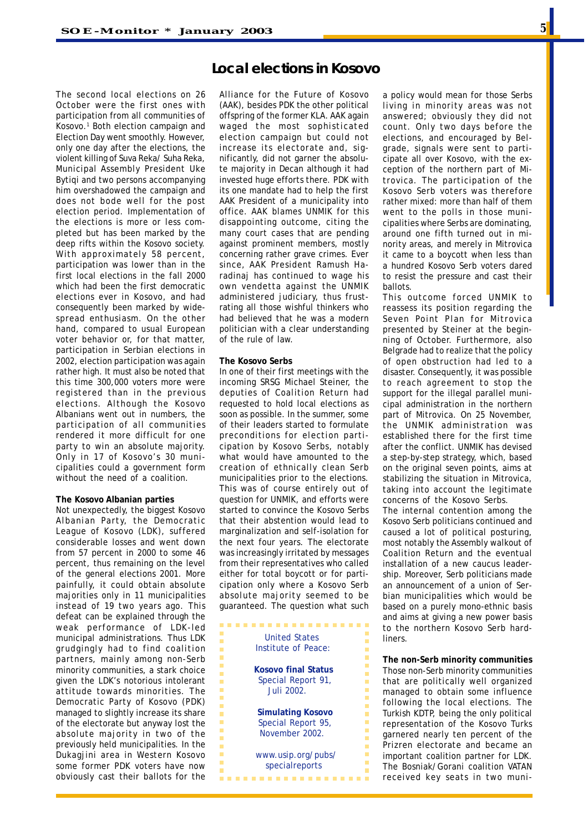The second local elections on 26 October were the first ones with participation from all communities of Kosovo.<sup>1</sup> Both election campaign and Election Day went smoothly. However, only one day after the elections, the violent killing of Suva Reka/ Suha Reka, Municipal Assembly President Uke Bytiqi and two persons accompanying him overshadowed the campaign and does not bode well for the post election period. Implementation of the elections is more or less completed but has been marked by the deep rifts within the Kosovo society. With approximately 58 percent, participation was lower than in the first local elections in the fall 2000 which had been the first democratic elections ever in Kosovo, and had consequently been marked by widespread enthusiasm. On the other hand, compared to usual European voter behavior or, for that matter, participation in Serbian elections in 2002, election participation was again rather high. It must also be noted that this time 300,000 voters more were registered than in the previous elections. Although the Kosovo Albanians went out in numbers, the participation of all communities rendered it more difficult for one party to win an absolute majority. Only in 17 of Kosovo's 30 municipalities could a government form without the need of a coalition.

#### **The Kosovo Albanian parties**

Not unexpectedly, the biggest Kosovo Albanian Party, the Democratic League of Kosovo (LDK), suffered considerable losses and went down from 57 percent in 2000 to some 46 percent, thus remaining on the level of the general elections 2001. More painfully, it could obtain absolute majorities only in 11 municipalities instead of 19 two years ago. This defeat can be explained through the weak performance of LDK-led municipal administrations. Thus LDK grudgingly had to find coalition partners, mainly among non-Serb minority communities, a stark choice given the LDK's notorious intolerant attitude towards minorities. The Democratic Party of Kosovo (PDK) managed to slightly increase its share of the electorate but anyway lost the absolute majority in two of the previously held municipalities. In the Dukagjini area in Western Kosovo some former PDK voters have now obviously cast their ballots for the

# **Local elections in Kosovo**

Alliance for the Future of Kosovo (AAK), besides PDK the other political offspring of the former KLA. AAK again waged the most sophisticated election campaign but could not increase its electorate and, significantly, did not garner the absolute majority in Decan although it had invested huge efforts there. PDK with its one mandate had to help the first AAK President of a municipality into office. AAK blames UNMIK for this disappointing outcome, citing the many court cases that are pending against prominent members, mostly concerning rather grave crimes. Ever since, AAK President Ramush Haradinaj has continued to wage his own vendetta against the UNMIK administered judiciary, thus frustrating all those wishful thinkers who had believed that he was a modern politician with a clear understanding of the rule of law.

#### **The Kosovo Serbs**

In one of their first meetings with the incoming SRSG Michael Steiner, the deputies of Coalition Return had requested to hold local elections as soon as possible. In the summer, some of their leaders started to formulate preconditions for election participation by Kosovo Serbs, notably what would have amounted to the creation of ethnically clean Serb municipalities prior to the elections. This was of course entirely out of question for UNMIK, and efforts were started to convince the Kosovo Serbs that their abstention would lead to marginalization and self-isolation for the next four years. The electorate was increasingly irritated by messages from their representatives who called either for total boycott or for participation only where a Kosovo Serb absolute majority seemed to be guaranteed. The question what such

| <b>United States</b>                                             |
|------------------------------------------------------------------|
| Institute of Peace:                                              |
| <b>Kosovo final Status</b><br>Special Report 91,<br>Juli 2002.   |
| <b>Simulating Kosovo</b><br>Special Report 95,<br>November 2002. |
| www.usip.org/pubs/<br>specialreports                             |

a policy would mean for those Serbs living in minority areas was not answered; obviously they did not count. Only two days before the elections, and encouraged by Belgrade, signals were sent to participate all over Kosovo, with the exception of the northern part of Mitrovica. The participation of the Kosovo Serb voters was therefore rather mixed: more than half of them went to the polls in those municipalities where Serbs are dominating, around one fifth turned out in minority areas, and merely in Mitrovica it came to a boycott when less than a hundred Kosovo Serb voters dared to resist the pressure and cast their ballots.

This outcome forced UNMIK to reassess its position regarding the Seven Point Plan for Mitrovica presented by Steiner at the beginning of October. Furthermore, also Belgrade had to realize that the policy of open obstruction had led to a disaster. Consequently, it was possible to reach agreement to stop the support for the illegal parallel municipal administration in the northern part of Mitrovica. On 25 November, the UNMIK administration was established there for the first time after the conflict. UNMIK has devised a step-by-step strategy, which, based on the original seven points, aims at stabilizing the situation in Mitrovica, taking into account the legitimate concerns of the Kosovo Serbs.

The internal contention among the Kosovo Serb politicians continued and caused a lot of political posturing, most notably the Assembly walkout of Coalition Return and the eventual installation of a new caucus leadership. Moreover, Serb politicians made an announcement of a union of Serbian municipalities which would be based on a purely mono-ethnic basis and aims at giving a new power basis to the northern Kosovo Serb hardliners

**The non-Serb minority communities** Those non-Serb minority communities that are politically well organized managed to obtain some influence following the local elections. The Turkish KDTP, being the only political representation of the Kosovo Turks garnered nearly ten percent of the Prizren electorate and became an important coalition partner for LDK. The Bosniak/Gorani coalition VATAN received key seats in two muni-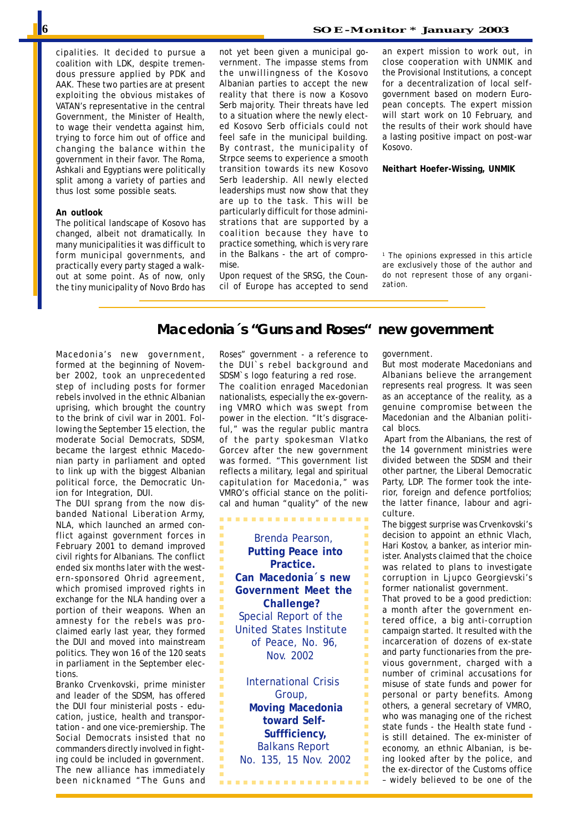cipalities. It decided to pursue a coalition with LDK, despite tremendous pressure applied by PDK and AAK. These two parties are at present exploiting the obvious mistakes of VATAN's representative in the central Government, the Minister of Health, to wage their vendetta against him, trying to force him out of office and changing the balance within the government in their favor. The Roma, Ashkali and Egyptians were politically split among a variety of parties and thus lost some possible seats.

#### **An outlook**

The political landscape of Kosovo has changed, albeit not dramatically. In many municipalities it was difficult to form municipal governments, and practically every party staged a walkout at some point. As of now, only the tiny municipality of Novo Brdo has

not yet been given a municipal government. The impasse stems from the unwillingness of the Kosovo Albanian parties to accept the new reality that there is now a Kosovo Serb majority. Their threats have led to a situation where the newly elected Kosovo Serb officials could not feel safe in the municipal building. By contrast, the municipality of Strpce seems to experience a smooth transition towards its new Kosovo Serb leadership. All newly elected leaderships must now show that they are up to the task. This will be particularly difficult for those administrations that are supported by a coalition because they have to practice something, which is very rare in the Balkans - the art of compromise.

Upon request of the SRSG, the Council of Europe has accepted to send an expert mission to work out, in close cooperation with UNMIK and the Provisional Institutions, a concept for a decentralization of local selfgovernment based on modern European concepts. The expert mission will start work on 10 February, and the results of their work should have a lasting positive impact on post-war Kosovo.

**Neithart Hoefer-Wissing, UNMIK**

*1 The opinions expressed in this article are exclusively those of the author and do not represent those of any organization.*

# **Macedonia´s "Guns and Roses" new government**

Macedonia's new government, formed at the beginning of November 2002, took an unprecedented step of including posts for former rebels involved in the ethnic Albanian uprising, which brought the country to the brink of civil war in 2001. Following the September 15 election, the moderate Social Democrats, SDSM, became the largest ethnic Macedonian party in parliament and opted to link up with the biggest Albanian political force, the Democratic Union for Integration, DUI.

The DUI sprang from the now disbanded National Liberation Army, NLA, which launched an armed conflict against government forces in February 2001 to demand improved civil rights for Albanians. The conflict ended six months later with the western-sponsored Ohrid agreement, which promised improved rights in exchange for the NLA handing over a portion of their weapons. When an amnesty for the rebels was proclaimed early last year, they formed the DUI and moved into mainstream politics. They won 16 of the 120 seats in parliament in the September elections.

Branko Crvenkovski, prime minister and leader of the SDSM, has offered the DUI four ministerial posts - education, justice, health and transportation - and one vice-premiership. The Social Democrats insisted that no commanders directly involved in fighting could be included in government. The new alliance has immediately been nicknamed "The Guns and Roses" government - a reference to the DUI`s rebel background and SDSM`s logo featuring a red rose.

The coalition enraged Macedonian nationalists, especially the ex-governing VMRO which was swept from power in the election. "It's disgraceful," was the regular public mantra of the party spokesman Vlatko Gorcev after the new government was formed. "This government list reflects a military, legal and spiritual capitulation for Macedonia," was VMRO's official stance on the political and human "quality" of the new

. . . . . . . . . . . . . . . . . . .

 Brenda Pearson,  **Putting Peace into Practice. Can Macedonia´s new Government Meet the Challenge?** Special Report of the United States Institute of Peace, No. 96, Nov. 2002

 International Crisis Group, **Moving Macedonia toward Self- Suffficiency,** Balkans Report No. 135, 15 Nov. 2002

..................

government.

But most moderate Macedonians and Albanians believe the arrangement represents real progress. It was seen as an acceptance of the reality, as a genuine compromise between the Macedonian and the Albanian political blocs.

 Apart from the Albanians, the rest of the 14 government ministries were divided between the SDSM and their other partner, the Liberal Democratic Party, LDP. The former took the interior, foreign and defence portfolios; the latter finance, labour and agriculture.

The biggest surprise was Crvenkovski's decision to appoint an ethnic Vlach, Hari Kostov, a banker, as interior minister. Analysts claimed that the choice was related to plans to investigate corruption in Ljupco Georgievski's former nationalist government.

That proved to be a good prediction: a month after the government entered office, a big anti-corruption campaign started. It resulted with the incarceration of dozens of ex-state and party functionaries from the previous government, charged with a number of criminal accusations for misuse of state funds and power for personal or party benefits. Among others, a general secretary of VMRO, who was managing one of the richest state funds - the Health state fund is still detained. The ex-minister of economy, an ethnic Albanian, is being looked after by the police, and the ex-director of the Customs office – widely believed to be one of the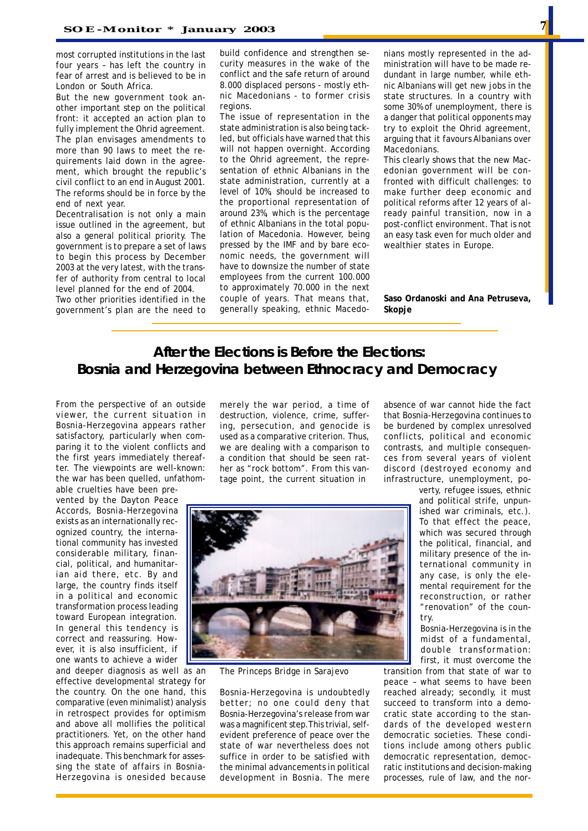most corrupted institutions in the last four years – has left the country in fear of arrest and is believed to be in London or South Africa.

But the new government took another important step on the political front: it accepted an action plan to fully implement the Ohrid agreement. The plan envisages amendments to more than 90 laws to meet the requirements laid down in the agreement, which brought the republic's civil conflict to an end in August 2001. The reforms should be in force by the end of next year.

Decentralisation is not only a main issue outlined in the agreement, but also a general political priority. The government is to prepare a set of laws to begin this process by December 2003 at the very latest, with the transfer of authority from central to local level planned for the end of 2004.

Two other priorities identified in the government's plan are the need to build confidence and strengthen security measures in the wake of the conflict and the safe return of around 8.000 displaced persons - mostly ethnic Macedonians - to former crisis regions

The issue of representation in the state administration is also being tackled, but officials have warned that this will not happen overnight. According to the Ohrid agreement, the representation of ethnic Albanians in the state administration, currently at a level of 10%, should be increased to the proportional representation of around 23%, which is the percentage of ethnic Albanians in the total population of Macedonia. However, being pressed by the IMF and by bare economic needs, the government will have to downsize the number of state employees from the current 100.000 to approximately 70.000 in the next couple of years. That means that, generally speaking, ethnic Macedonians mostly represented in the administration will have to be made redundant in large number, while ethnic Albanians will get new jobs in the state structures. In a country with some 30% of unemployment, there is a danger that political opponents may try to exploit the Ohrid agreement, arguing that it favours Albanians over Macedonians.

This clearly shows that the new Macedonian government will be confronted with difficult challenges: to make further deep economic and political reforms after 12 years of already painful transition, now in a post-conflict environment. That is not an easy task even for much older and wealthier states in Europe.

**Saso Ordanoski and Ana Petruseva, Skopje**

# **After the Elections is Before the Elections: Bosnia and Herzegovina between Ethnocracy and Democracy**

From the perspective of an outside viewer, the current situation in Bosnia-Herzegovina appears rather satisfactory, particularly when comparing it to the violent conflicts and the first years immediately thereafter. The viewpoints are well-known: the war has been quelled, unfathom-

able cruelties have been prevented by the Dayton Peace Accords, Bosnia-Herzegovina exists as an internationally recognized country, the international community has invested considerable military, financial, political, and humanitarian aid there, etc. By and large, the country finds itself in a political and economic transformation process leading toward European integration. In general this tendency is correct and reassuring. However, it is also insufficient, if one wants to achieve a wider

Herzegovina is onesided because development in Bosn and deeper diagnosis as well as an effective developmental strategy for the country. On the one hand, this comparative (even minimalist) analysis in retrospect provides for optimism and above all mollifies the political practitioners. Yet, on the other hand this approach remains superficial and inadequate. This benchmark for assessing the state of affairs in Bosnia-

merely the war period, a time of destruction, violence, crime, suffering, persecution, and genocide is used as a comparative criterion. Thus, we are dealing with a comparison to a condition that should be seen rather as "rock bottom". From this vantage point, the current situation in

absence of war cannot hide the fact that Bosnia-Herzegovina continues to be burdened by complex unresolved conflicts, political and economic contrasts, and multiple consequences from several years of violent discord (destroyed economy and infrastructure, unemployment, po-



*The Princeps Bridge in Sarajevo*

Bosnia-Herzegovina is undoubtedly better; no one could deny that Bosnia-Herzegovina's release from war was a magnificent step.This trivial, selfevident preference of peace over the state of war nevertheless does not suffice in order to be satisfied with the minimal advancements in political development in Bosnia. The mere

and political strife, unpunverty, refugee issues, ethnic ished war criminals, etc.). To that effect the peace, which was secured through the political, financial, and military presence of the international community in any case, is only the elemental requirement for the reconstruction, or rather "renovation" of the country.

Bosnia-Herzegovina is in the midst of a fundamental, double transformation: first, it must overcome the

transition from that state of war to peace – what seems to have been reached already; secondly, it must succeed to transform into a democratic state according to the standards of the developed western democratic societies. These conditions include among others public democratic representation, democratic institutions and decision-making processes, rule of law, and the nor-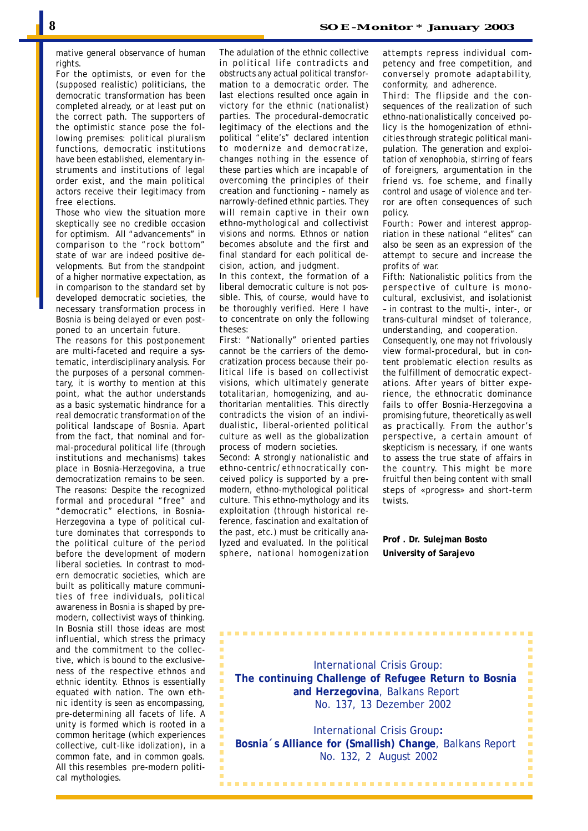mative general observance of human rights

For the optimists, or even for the (supposed realistic) politicians, the democratic transformation has been completed already, or at least put on the correct path. The supporters of the optimistic stance pose the following premises: political pluralism functions, democratic institutions have been established, elementary instruments and institutions of legal order exist, and the main political actors receive their legitimacy from free elections.

Those who view the situation more skeptically see no credible occasion for optimism. All "advancements" in comparison to the "rock bottom" state of war are indeed positive developments. But from the standpoint of a higher normative expectation, as in comparison to the standard set by developed democratic societies, the necessary transformation process in Bosnia is being delayed or even postponed to an uncertain future.

The reasons for this postponement are multi-faceted and require a systematic, interdisciplinary analysis. For the purposes of a personal commentary, it is worthy to mention at this point, what the author understands as a basic systematic hindrance for a real democratic transformation of the political landscape of Bosnia. Apart from the fact, that nominal and formal-procedural political life (through institutions and mechanisms) takes place in Bosnia-Herzegovina, a true democratization remains to be seen. The reasons: Despite the recognized formal and procedural "free" and "democratic" elections, in Bosnia-Herzegovina a type of political culture dominates that corresponds to the political culture of the period before the development of modern liberal societies. In contrast to modern democratic societies, which are built as politically mature communities of free individuals, political awareness in Bosnia is shaped by premodern, collectivist ways of thinking. In Bosnia still those ideas are most influential, which stress the primacy and the commitment to the collective, which is bound to the exclusiveness of the respective ethnos and ethnic identity. Ethnos is essentially equated with nation. The own ethnic identity is seen as encompassing, pre-determining all facets of life. A unity is formed which is rooted in a common heritage (which experiences collective, cult-like idolization), in a common fate, and in common goals. All this resembles pre-modern political mythologies.

The adulation of the ethnic collective in political life contradicts and obstructs any actual political transformation to a democratic order. The last elections resulted once again in victory for the ethnic (nationalist) parties. The procedural-democratic legitimacy of the elections and the political "elite's" declared intention to modernize and democratize, changes nothing in the essence of these parties which are incapable of overcoming the principles of their creation and functioning – namely as narrowly-defined ethnic parties. They will remain captive in their own ethno-mythological and collectivist visions and norms. Ethnos or nation becomes absolute and the first and final standard for each political decision, action, and judgment.

In this context, the formation of a liberal democratic culture is not possible. This, of course, would have to be thoroughly verified. Here I have to concentrate on only the following theses:

*First*: "Nationally" oriented parties cannot be the carriers of the democratization process because their political life is based on collectivist visions, which ultimately generate totalitarian, homogenizing, and authoritarian mentalities. This directly contradicts the vision of an individualistic, liberal-oriented political culture as well as the globalization process of modern societies.

*Second*: A strongly nationalistic and ethno-centric/ethnocratically conceived policy is supported by a premodern, ethno-mythological political culture. This ethno-mythology and its exploitation (through historical reference, fascination and exaltation of the past, etc.) must be critically analyzed and evaluated. In the political sphere, national homogenization attempts repress individual competency and free competition, and conversely promote adaptability, conformity, and adherence.

*Third*: The flipside and the consequences of the realization of such ethno-nationalistically conceived policy is the homogenization of ethnicities through strategic political manipulation. The generation and exploitation of xenophobia, stirring of fears of foreigners, argumentation in the friend vs. foe scheme, and finally control and usage of violence and terror are often consequences of such policy.

*Fourth* : Power and interest appropriation in these national "elites" can also be seen as an expression of the attempt to secure and increase the profits of war.

*Fifth*: Nationalistic politics from the perspective of culture is monocultural, exclusivist, and isolationist – in contrast to the multi-, inter-, or trans-cultural mindset of tolerance, understanding, and cooperation.

Consequently, one may not frivolously view formal-procedural, but in content problematic election results as the fulfillment of democratic expectations. After years of bitter experience, the ethnocratic dominance fails to offer Bosnia-Herzegovina a promising future, theoretically as well as practically. From the author's perspective, a certain amount of skepticism is necessary, if one wants to assess the true state of affairs in the country. This might be more fruitful then being content with small steps of «progress» and short-term twists.

**Prof . Dr. Sulejman Bosto University of Sarajevo**

 International Crisis Group: **The continuing Challenge of Refugee Return to Bosnia and Herzegovina**, Balkans Report No. 137, 13 Dezember 2002

 International Crisis Group**: Bosnia´s Alliance for (Smallish) Change**, Balkans Report No. 132, 2 August 2002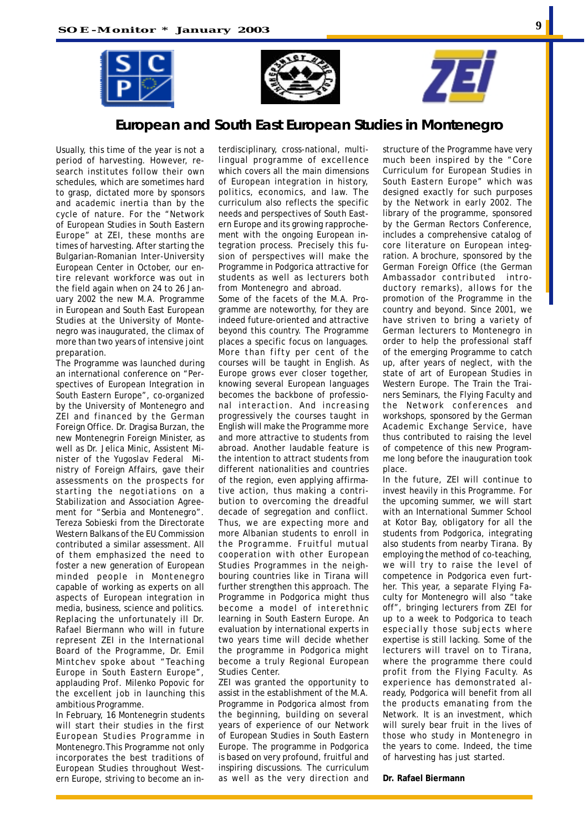





# **European and South East European Studies in Montenegro**

Usually, this time of the year is not a period of harvesting. However, research institutes follow their own schedules, which are sometimes hard to grasp, dictated more by sponsors and academic inertia than by the cycle of nature. For the "Network of European Studies in South Eastern Europe" at ZEI, these months *are* times of harvesting. After starting the Bulgarian-Romanian Inter-University European Center in October, our entire relevant workforce was out in the field again when on 24 to 26 January 2002 the new M.A. Programme in European and South East European Studies at the University of Montenegro was inaugurated, the climax of more than two years of intensive joint preparation.

The Programme was launched during an international conference on "Perspectives of European Integration in South Eastern Europe", co-organized by the University of Montenegro and ZEI and financed by the German Foreign Office. Dr. Dragisa Burzan, the new Montenegrin Foreign Minister, as well as Dr. Jelica Minic, Assistent Minister of the Yugoslav Federal Ministry of Foreign Affairs, gave their assessments on the prospects for starting the negotiations on a Stabilization and Association Agreement for "Serbia and Montenegro". Tereza Sobieski from the Directorate Western Balkans of the EU Commission contributed a similar assessment. All of them emphasized the need to foster a new generation of European minded people in Montenegro capable of working as experts on all aspects of European integration in media, business, science and politics. Replacing the unfortunately ill Dr. Rafael Biermann who will in future represent ZEI in the International Board of the Programme, Dr. Emil Mintchev spoke about "Teaching Europe in South Eastern Europe", applauding Prof. Milenko Popovic for the excellent job in launching this ambitious Programme.

In February, 16 Montenegrin students will start their studies in the first European Studies Programme in Montenegro.This Programme not only incorporates the best traditions of European Studies throughout Western Europe, striving to become an in-

terdisciplinary, cross-national, multilingual programme of excellence which covers all the main dimensions of European integration in history, politics, economics, and law. The curriculum also reflects the specific needs and perspectives of South Eastern Europe and its growing rapprochement with the ongoing European integration process. Precisely this fusion of perspectives will make the Programme in Podgorica attractive for students as well as lecturers both from Montenegro and abroad.

Some of the facets of the M.A. Programme are noteworthy, for they are indeed future-oriented and attractive beyond this country. The Programme places a specific focus on languages. More than fifty per cent of the courses will be taught in English. As Europe grows ever closer together, knowing several European languages becomes the backbone of professional interaction. And increasing progressively the courses taught in English will make the Programme more and more attractive to students from abroad. Another laudable feature is the intention to attract students from different nationalities and countries of the region, even applying affirmative action, thus making a contribution to overcoming the dreadful decade of segregation and conflict. Thus, we are expecting more and more Albanian students to enroll in the Programme. Fruitful mutual cooperation with other European Studies Programmes in the neighbouring countries like in Tirana will further strengthen this approach. The Programme in Podgorica might thus become a model of interethnic learning in South Eastern Europe. An evaluation by international experts in two years time will decide whether the programme in Podgorica might become a truly Regional European Studies Center.

ZEI was granted the opportunity to assist in the establishment of the M.A. Programme in Podgorica almost from the beginning, building on several years of experience of our Network of European Studies in South Eastern Europe. The programme in Podgorica is based on very profound, fruitful and inspiring discussions. The curriculum as well as the very direction and

structure of the Programme have very much been inspired by the "Core Curriculum for European Studies in South Eastern Europe" which was designed exactly for such purposes by the Network in early 2002. The library of the programme, sponsored by the German Rectors Conference, includes a comprehensive catalog of core literature on European integration. A brochure, sponsored by the German Foreign Office (the German Ambassador contributed introductory remarks), allows for the promotion of the Programme in the country and beyond. Since 2001, we have striven to bring a variety of German lecturers to Montenegro in order to help the professional staff of the emerging Programme to catch up, after years of neglect, with the state of art of European Studies in Western Europe. The Train the Trainers Seminars, the Flying Faculty and the Network conferences and workshops, sponsored by the German Academic Exchange Service, have thus contributed to raising the level of competence of this new Programme long before the inauguration took place.

In the future, ZEI will continue to invest heavily in this Programme. For the upcoming summer, we will start with an International Summer School at Kotor Bay, obligatory for all the students from Podgorica, integrating also students from nearby Tirana. By employing the method of co-teaching, we will try to raise the level of competence in Podgorica even further. This year, a separate Flying Faculty for Montenegro will also "take off", bringing lecturers from ZEI for up to a week to Podgorica to teach especially those subjects where expertise is still lacking. Some of the lecturers will travel on to Tirana, where the programme there could profit from the Flying Faculty. As experience has demonstrated already, Podgorica will benefit from all the products emanating from the Network. It is an investment, which will surely bear fruit in the lives of those who study in Montenegro in the years to come. Indeed, the time of harvesting has just started.

**Dr. Rafael Biermann**